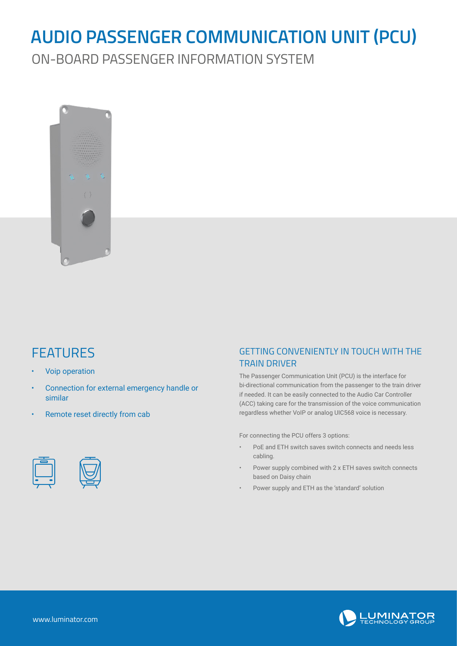## **AUDIO PASSENGER COMMUNICATION UNIT (PCU)**

ON-BOARD PASSENGER INFORMATION SYSTEM



## **FEATURES**

- Voip operation
- Connection for external emergency handle or similar
- Remote reset directly from cab



The Passenger Communication Unit (PCU) is the interface for bi-directional communication from the passenger to the train driver if needed. It can be easily connected to the Audio Car Controller (ACC) taking care for the transmission of the voice communication regardless whether VoIP or analog UIC568 voice is necessary.

For connecting the PCU offers 3 options:

- PoE and ETH switch saves switch connects and needs less cabling.
- Power supply combined with 2 x ETH saves switch connects based on Daisy chain
- Power supply and ETH as the 'standard' solution